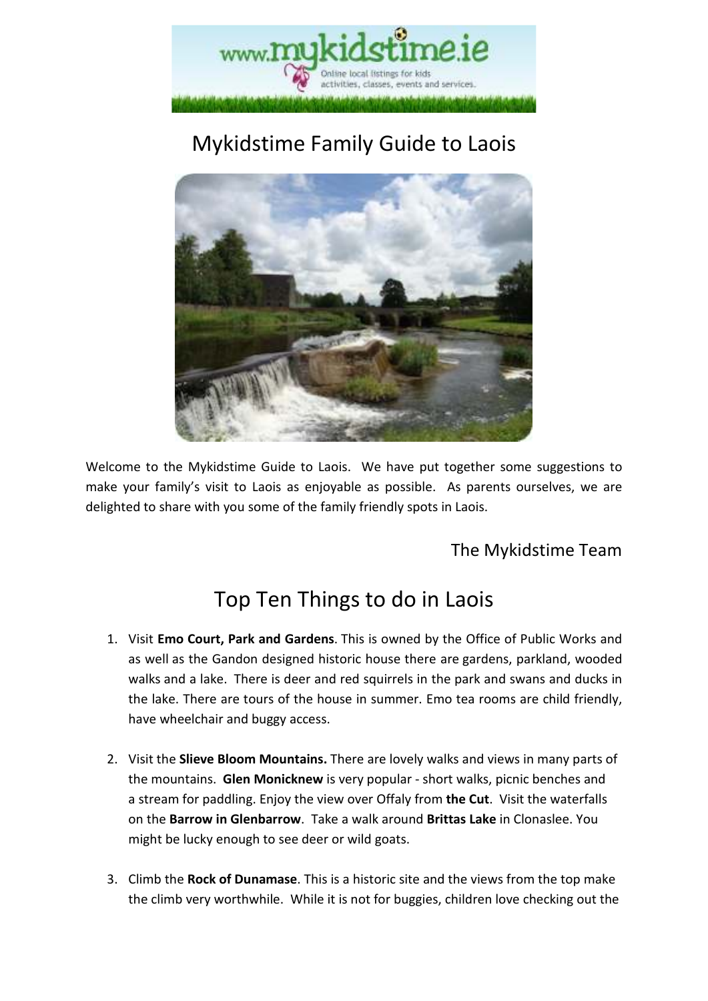

# Mykidstime Family Guide to Laois



Welcome to the Mykidstime Guide to Laois. We have put together some suggestions to make your family's visit to Laois as enjoyable as possible. As parents ourselves, we are delighted to share with you some of the family friendly spots in Laois.

### The Mykidstime Team

## Top Ten Things to do in Laois

- 1. Visit **Emo Court, Park and Gardens**. This is owned by the Office of Public Works and as well as the Gandon designed historic house there are gardens, parkland, wooded walks and a lake. There is deer and red squirrels in the park and swans and ducks in the lake. There are tours of the house in summer. Emo tea rooms are child friendly, have wheelchair and buggy access.
- 2. Visit the **Slieve Bloom Mountains.** There are lovely walks and views in many parts of the mountains. **Glen Monicknew** is very popular - short walks, picnic benches and a stream for paddling. Enjoy the view over Offaly from **the Cut**. Visit the waterfalls on the **Barrow in Glenbarrow**. Take a walk around **Brittas Lake** in Clonaslee. You might be lucky enough to see deer or wild goats.
- 3. Climb the **Rock of Dunamase**. This is a historic site and the views from the top make the climb very worthwhile. While it is not for buggies, children love checking out the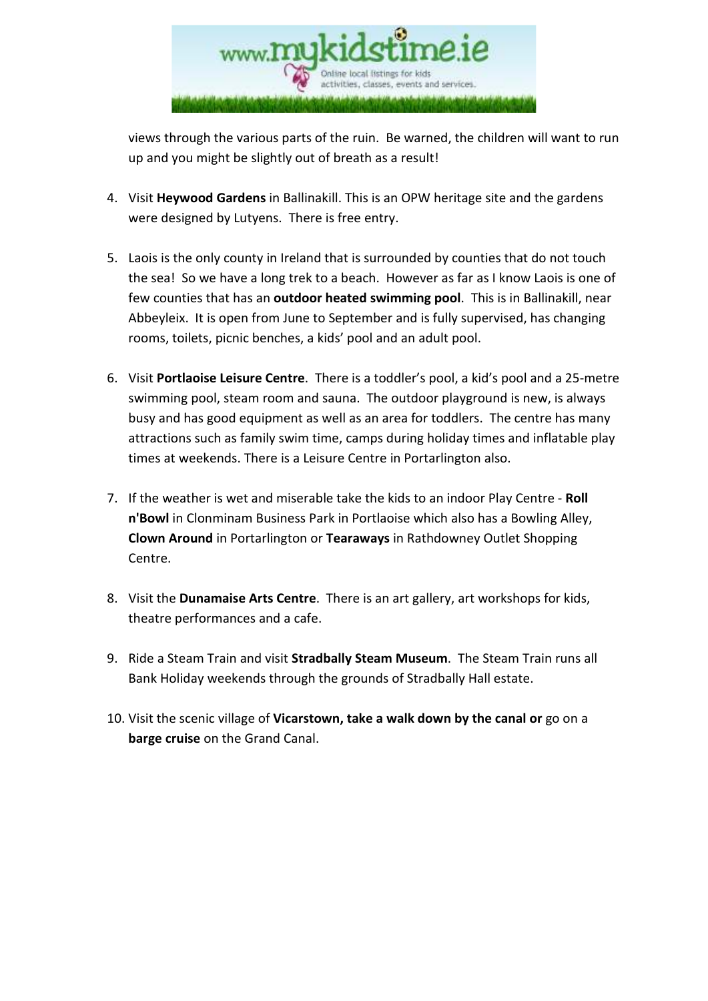

views through the various parts of the ruin. Be warned, the children will want to run up and you might be slightly out of breath as a result!

- 4. Visit **Heywood Gardens** in Ballinakill. This is an OPW heritage site and the gardens were designed by Lutyens. There is free entry.
- 5. Laois is the only county in Ireland that is surrounded by counties that do not touch the sea! So we have a long trek to a beach. However as far as I know Laois is one of few counties that has an **outdoor heated swimming pool**. This is in Ballinakill, near Abbeyleix. It is open from June to September and is fully supervised, has changing rooms, toilets, picnic benches, a kids' pool and an adult pool.
- 6. Visit **Portlaoise Leisure Centre**. There is a toddler's pool, a kid's pool and a 25-metre swimming pool, steam room and sauna. The outdoor playground is new, is always busy and has good equipment as well as an area for toddlers. The centre has many attractions such as family swim time, camps during holiday times and inflatable play times at weekends. There is a Leisure Centre in Portarlington also.
- 7. If the weather is wet and miserable take the kids to an indoor Play Centre **Roll n'Bowl** in Clonminam Business Park in Portlaoise which also has a Bowling Alley, **Clown Around** in Portarlington or **Tearaways** in Rathdowney Outlet Shopping Centre.
- 8. Visit the **Dunamaise Arts Centre**. There is an art gallery, art workshops for kids, theatre performances and a cafe.
- 9. Ride a Steam Train and visit **Stradbally Steam Museum**. The Steam Train runs all Bank Holiday weekends through the grounds of Stradbally Hall estate.
- 10. Visit the scenic village of **Vicarstown, take a walk down by the canal or** go on a **barge cruise** on the Grand Canal.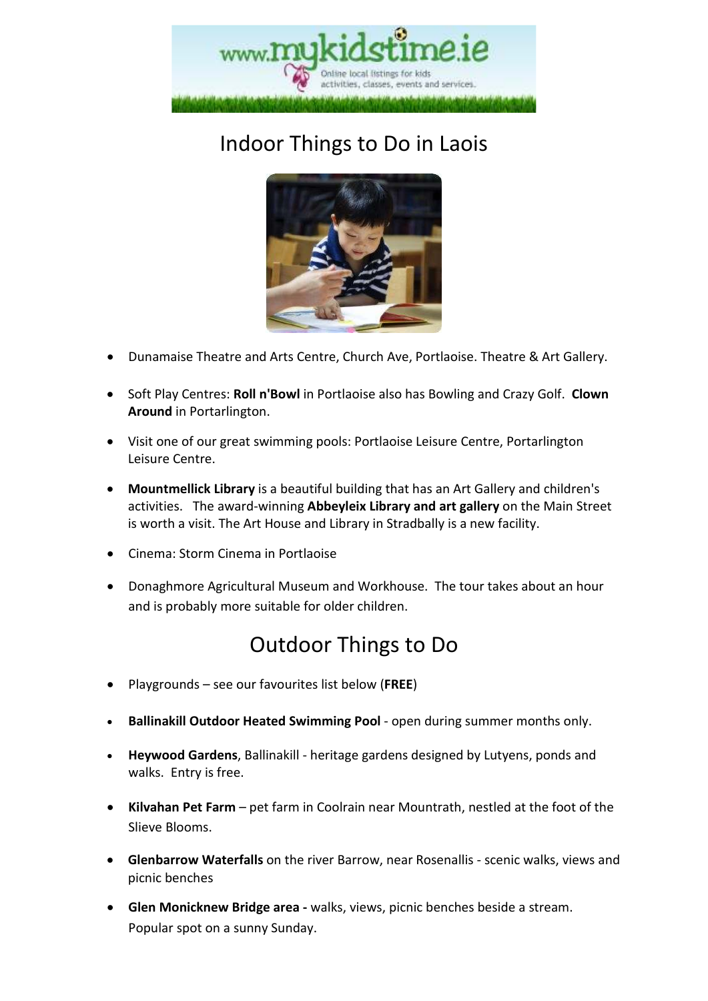

# Indoor Things to Do in Laois



- Dunamaise Theatre and Arts Centre, Church Ave, Portlaoise. Theatre & Art Gallery.
- Soft Play Centres: **Roll n'Bowl** in Portlaoise also has Bowling and Crazy Golf. **Clown Around** in Portarlington.
- Visit one of our great swimming pools: Portlaoise Leisure Centre, Portarlington Leisure Centre.
- **Mountmellick Library** is a beautiful building that has an Art Gallery and children's activities. The award-winning **Abbeyleix Library and art gallery** on the Main Street is worth a visit. The Art House and Library in Stradbally is a new facility.
- Cinema: Storm Cinema in Portlaoise
- Donaghmore Agricultural Museum and Workhouse. The tour takes about an hour and is probably more suitable for older children.

### Outdoor Things to Do

- Playgrounds see our favourites list below (**FREE**)
- **Ballinakill Outdoor Heated Swimming Pool**  open during summer months only.
- **Heywood Gardens**, Ballinakill heritage gardens designed by Lutyens, ponds and walks. Entry is free.
- **Kilvahan Pet Farm** pet farm in Coolrain near Mountrath, nestled at the foot of the Slieve Blooms.
- **Glenbarrow Waterfalls** on the river Barrow, near Rosenallis scenic walks, views and picnic benches
- **Glen Monicknew Bridge area** walks, views, picnic benches beside a stream. Popular spot on a sunny Sunday.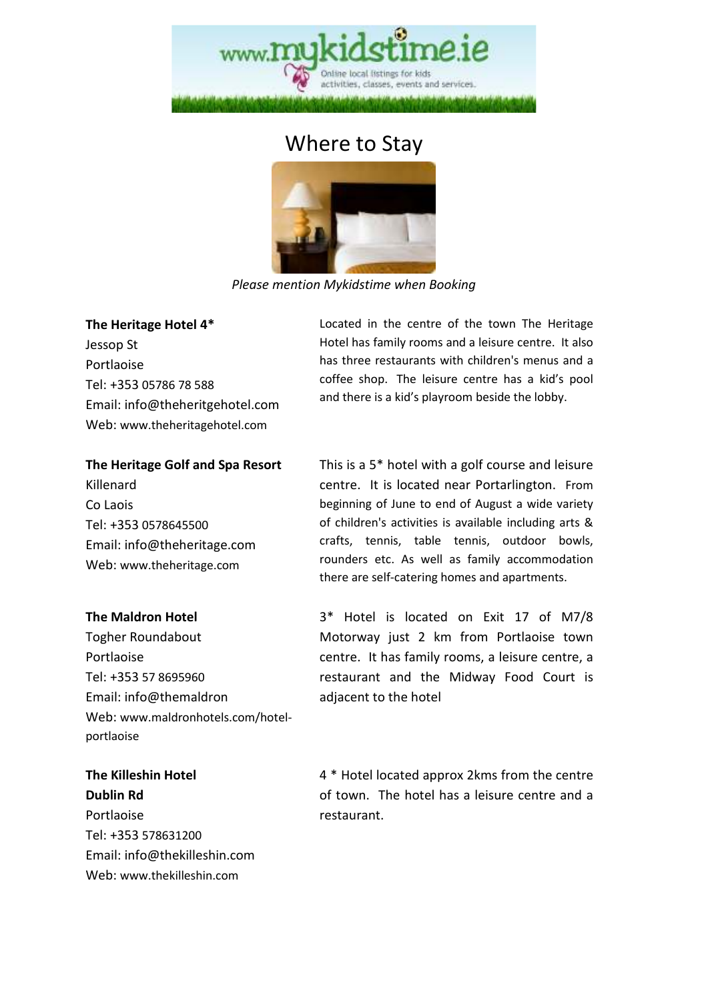

## Where to Stay



*Please mention Mykidstime when Booking* 

#### **The Heritage Hotel 4\***

Jessop St Portlaoise Tel: +353 05786 78 588 Email: info@theheritgehotel.com Web: www.theheritagehotel.com

#### **The Heritage Golf and Spa Resort**

Killenard Co Laois Tel: +353 0578645500 Email: info@theheritage.com Web: www.theheritage.com

#### **The Maldron Hotel**

Togher Roundabout Portlaoise Tel: +353 57 8695960 Email: info@themaldron Web: www.maldronhotels.com/hotelportlaoise

**The Killeshin Hotel Dublin Rd**  Portlaoise Tel: +353 578631200 Email: info@thekilleshin.com Web: www.thekilleshin.com

Located in the centre of the town The Heritage Hotel has family rooms and a leisure centre. It also has three restaurants with children's menus and a coffee shop. The leisure centre has a kid's pool and there is a kid's playroom beside the lobby.

This is a 5\* hotel with a golf course and leisure centre. It is located near Portarlington. From beginning of June to end of August a wide variety of children's activities is available including arts & crafts, tennis, table tennis, outdoor bowls, rounders etc. As well as family accommodation there are self-catering homes and apartments.

3\* Hotel is located on Exit 17 of M7/8 Motorway just 2 km from Portlaoise town centre. It has family rooms, a leisure centre, a restaurant and the Midway Food Court is adjacent to the hotel

4 \* Hotel located approx 2kms from the centre of town. The hotel has a leisure centre and a restaurant.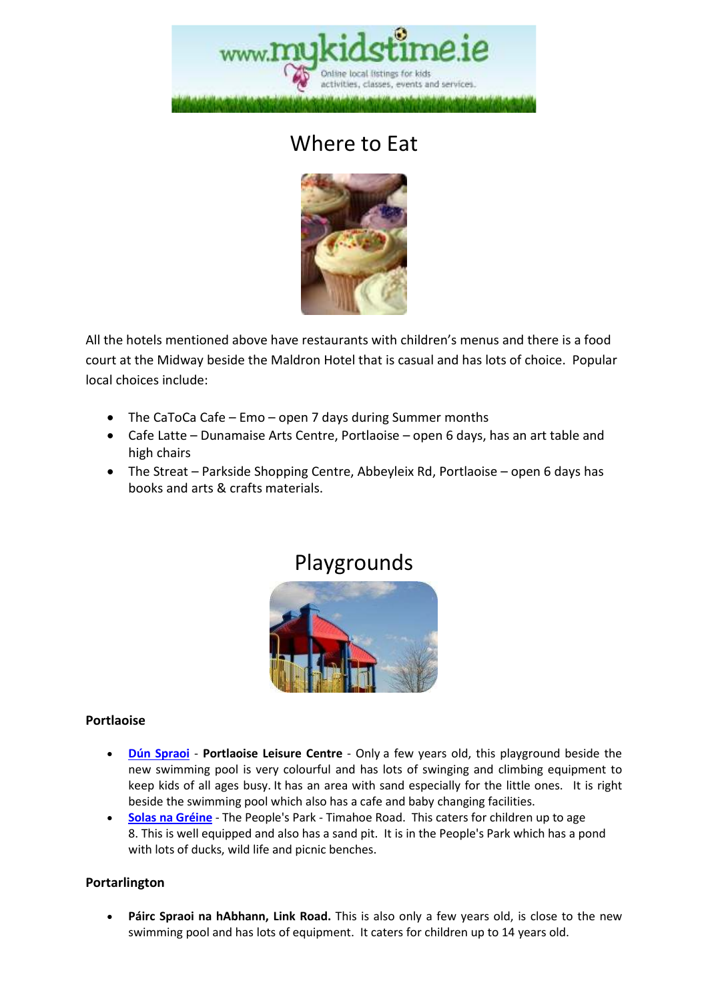

## Where to Eat



All the hotels mentioned above have restaurants with children's menus and there is a food court at the Midway beside the Maldron Hotel that is casual and has lots of choice. Popular local choices include:

- The CaToCa Cafe Emo open 7 days during Summer months
- Cafe Latte Dunamaise Arts Centre, Portlaoise open 6 days, has an art table and high chairs
- The Streat Parkside Shopping Centre, Abbeyleix Rd, Portlaoise open 6 days has books and arts & crafts materials.

### Playgrounds



#### **Portlaoise**

- **Dún Spraoi Portlaoise Leisure Centre**  Only a few years old, this playground beside the new swimming pool is very colourful and has lots of swinging and climbing equipment to keep kids of all ages busy. It has an area with sand especially for the little ones. It is right beside the swimming pool which also has a cafe and baby changing facilities.
- **Solas na Gréine** The People's Park Timahoe Road. This caters for children up to age 8. This is well equipped and also has a sand pit. It is in the People's Park which has a pond with lots of ducks, wild life and picnic benches.

#### **Portarlington**

• **Páirc Spraoi na hAbhann, Link Road.** This is also only a few years old, is close to the new swimming pool and has lots of equipment. It caters for children up to 14 years old.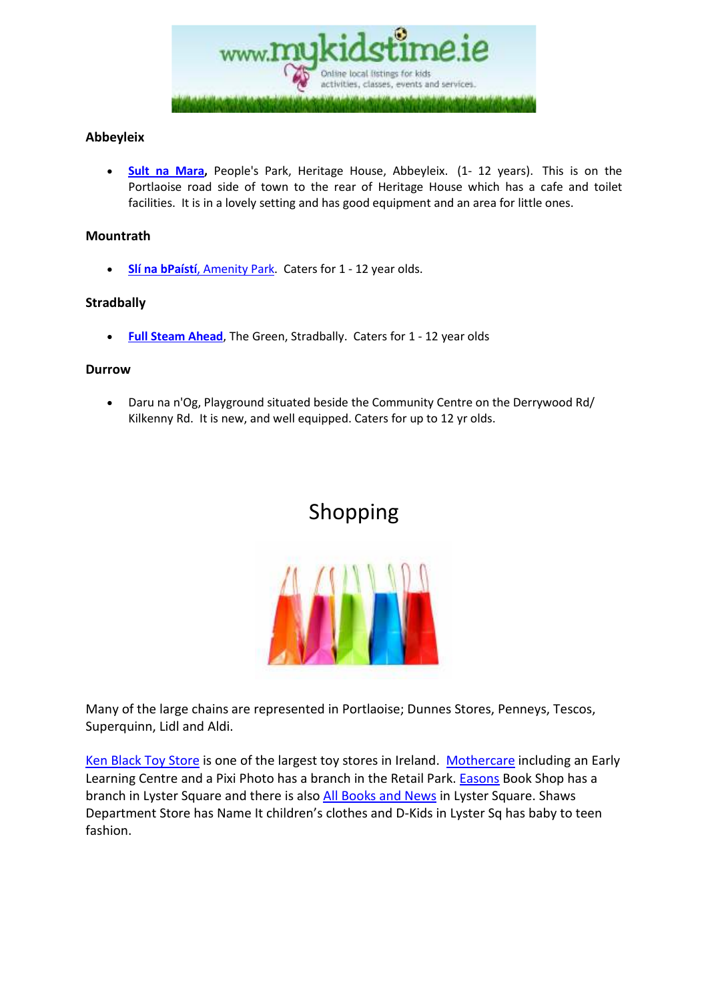

#### **Abbeyleix**

• **Sult na Mara,** People's Park, Heritage House, Abbeyleix. (1- 12 years). This is on the Portlaoise road side of town to the rear of Heritage House which has a cafe and toilet facilities. It is in a lovely setting and has good equipment and an area for little ones.

#### **Mountrath**

• **Slí na bPaístí**, Amenity Park. Caters for 1 - 12 year olds.

#### **Stradbally**

**Full Steam Ahead**, The Green, Stradbally. Caters for 1 - 12 year olds

#### **Durrow**

• Daru na n'Og, Playground situated beside the Community Centre on the Derrywood Rd/ Kilkenny Rd. It is new, and well equipped. Caters for up to 12 yr olds.

### Shopping



Many of the large chains are represented in Portlaoise; Dunnes Stores, Penneys, Tescos, Superquinn, Lidl and Aldi.

Ken Black Toy Store is one of the largest toy stores in Ireland. Mothercare including an Early Learning Centre and a Pixi Photo has a branch in the Retail Park. Easons Book Shop has a branch in Lyster Square and there is also All Books and News in Lyster Square. Shaws Department Store has Name It children's clothes and D-Kids in Lyster Sq has baby to teen fashion.